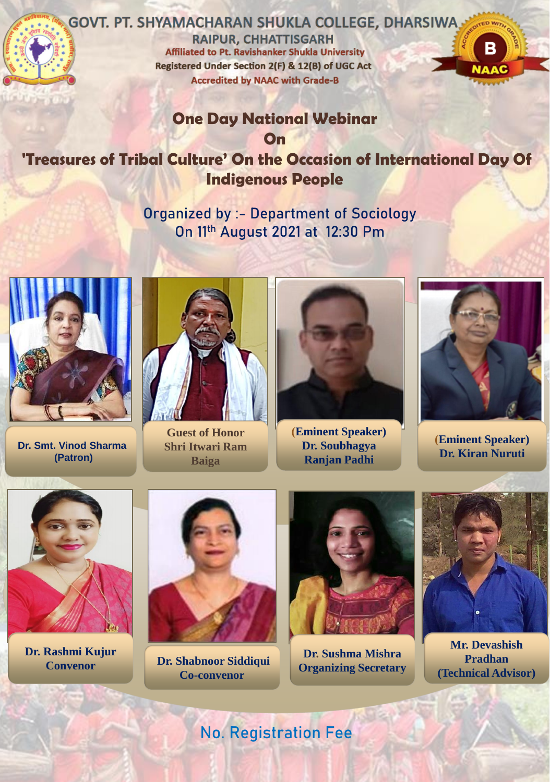

## **GOVT. PT. SHYAMACHARAN SHUKLA COLLEGE, DHARSIWA.**

**RAIPUR, CHHATTISGARH Affiliated to Pt. Ravishanker Shukla University** Registered Under Section 2(F) & 12(B) of UGC Act **Accredited by NAAC with Grade-B** 



## **One Day National Webinar**

**On**

**'Treasures of Tribal Culture' On the Occasion of International Day Of Indigenous People**

> **Organized by :- Department of Sociology On 11th August 2021 at 12:30 Pm**



**Dr. Smt. Vinod Sharma (Patron)**



**Guest of Honor Shri Itwari Ram Baiga**



**(Eminent Speaker) Dr. Soubhagya Ranjan Padhi**



**(Eminent Speaker) Dr. Kiran Nuruti**



**Dr. Rashmi Kujur**



**Convenor Dr. Shabnoor Siddiqui Co-convenor**



**Dr. Sushma Mishra Organizing Secretary**



**Mr. Devashish Pradhan (Technical Advisor)**

**No. Registration Fee**